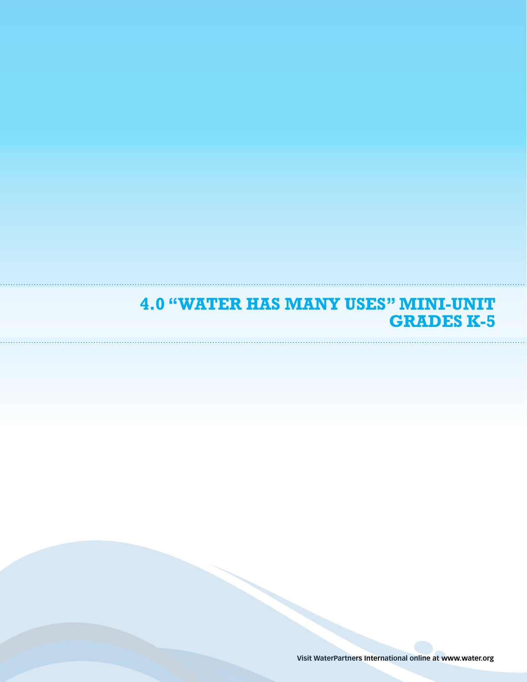### **4.0 "Water Has Many Uses" Mini-Unit GRADES k-5**

**Visit WaterPartners International online at www.water.org**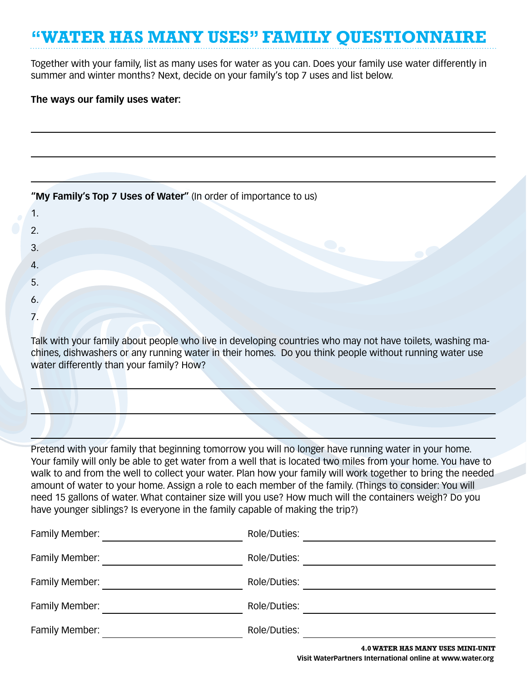# **"Water Has Many Uses" Family Questionnaire**

Together with your family, list as many uses for water as you can. Does your family use water differently in summer and winter months? Next, decide on your family's top 7 uses and list below.

### **The ways our family uses water:**

|  |  |  |  | "My Family's Top 7 Uses of Water" (In order of importance to us) |
|--|--|--|--|------------------------------------------------------------------|
|--|--|--|--|------------------------------------------------------------------|

| 1. |  |
|----|--|
| 2. |  |
| 3. |  |
| 4. |  |
| 5. |  |
| 6. |  |
| 7. |  |

Talk with your family about people who live in developing countries who may not have toilets, washing machines, dishwashers or any running water in their homes. Do you think people without running water use water differently than your family? How?

Pretend with your family that beginning tomorrow you will no longer have running water in your home. Your family will only be able to get water from a well that is located two miles from your home. You have to walk to and from the well to collect your water. Plan how your family will work together to bring the needed amount of water to your home. Assign a role to each member of the family. (Things to consider: You will need 15 gallons of water. What container size will you use? How much will the containers weigh? Do you have younger siblings? Is everyone in the family capable of making the trip?)

| Family Member: | Role/Duties: |                                          |
|----------------|--------------|------------------------------------------|
| Family Member: | Role/Duties: |                                          |
| Family Member: | Role/Duties: |                                          |
| Family Member: | Role/Duties: |                                          |
| Family Member: | Role/Duties: |                                          |
|                |              | <b>4.0 WATER HAS MANY USES MINI-UNIT</b> |

**Visit WaterPartners International online at www.water.org**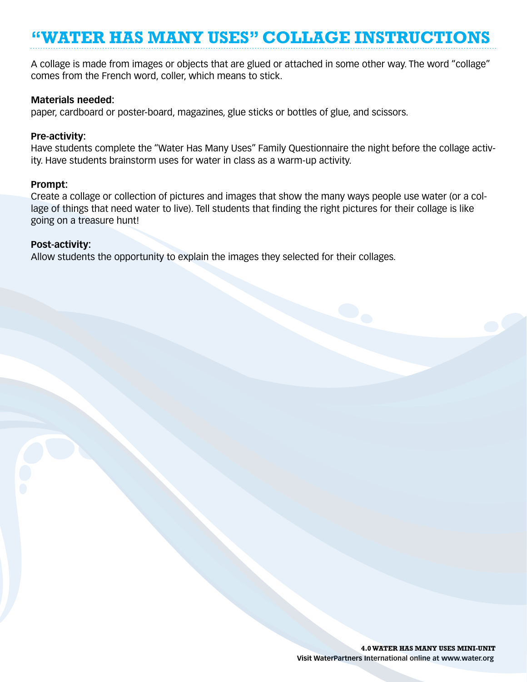## **"Water Has Many Uses" Collage Instructions**

A collage is made from images or objects that are glued or attached in some other way. The word "collage" comes from the French word, coller, which means to stick.

### **Materials needed:**

paper, cardboard or poster-board, magazines, glue sticks or bottles of glue, and scissors.

#### **Pre-activity:**

Have students complete the "Water Has Many Uses" Family Questionnaire the night before the collage activity. Have students brainstorm uses for water in class as a warm-up activity.

#### **Prompt:**

Create a collage or collection of pictures and images that show the many ways people use water (or a collage of things that need water to live). Tell students that finding the right pictures for their collage is like going on a treasure hunt!

### **Post-activity:**

Allow students the opportunity to explain the images they selected for their collages.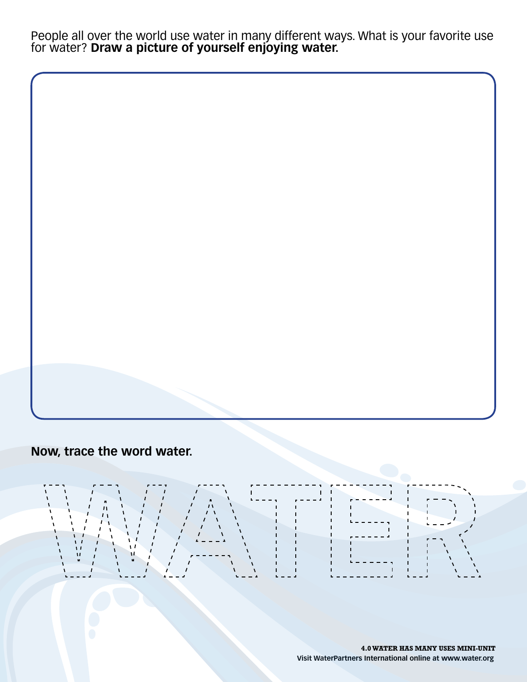People all over the world use water in many different ways. What is your favorite use for water? **Draw a picture of yourself enjoying water.**

**Now, trace the word water.**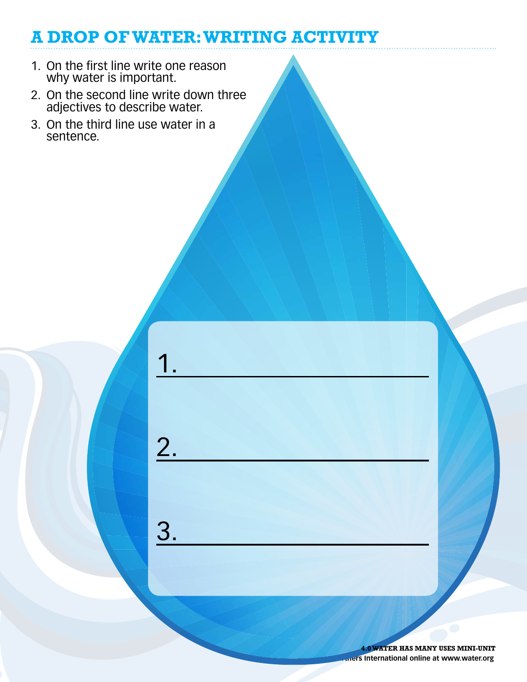## **A Drop of Water: Writing Activity**

- 1. On the first line write one reason why water is important.
- 2. On the second line write down three adjectives to describe water.

1.

2.

3.

3. On the third line use water in a sentence.

> *<u>Uners</u>* **International online at www.water.org 4.0 water has many uses mini-unit**